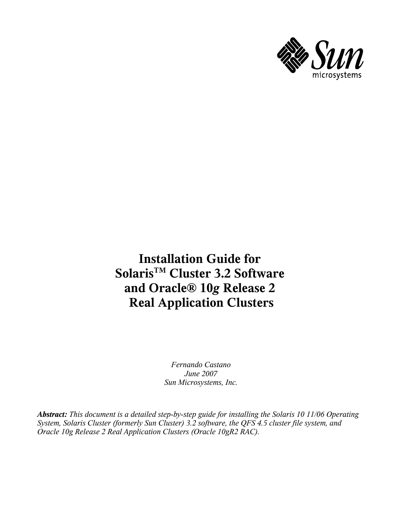

# **Installation Guide for Solaris TM Cluster 3.2 Software and Oracle® 10***g* **Release 2 Real Application Clusters**

*Fernando Castano June 2007 Sun Microsystems, Inc.*

*Abstract: This document is a detailed step-by-step guide for installing the Solaris 10 11/06 Operating System, Solaris Cluster (formerly Sun Cluster) 3.2 software, the QFS 4.5 cluster file system, and Oracle 10g Release 2 Real Application Clusters (Oracle 10gR2 RAC).*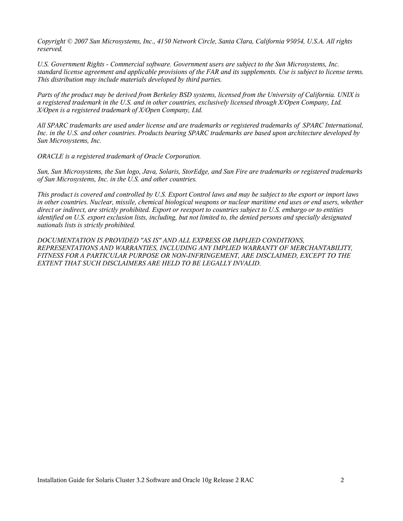*Copyright © 2007 Sun Microsystems, Inc., 4150 Network Circle, Santa Clara, California 95054, U.S.A. All rights reserved.*

*U.S. Government Rights - Commercial software. Government users are subject to the Sun Microsystems, Inc. standard license agreement and applicable provisions of the FAR and its supplements. Use is subject to license terms. This distribution may include materials developed by third parties.*

Parts of the product may be derived from Berkeley BSD systems, licensed from the University of California. UNIX is *a registered trademark in the U.S. and in other countries, exclusively licensed through X/Open Company, Ltd. X/Open is a registered trademark of X/Open Company, Ltd.*

*All SPARC trademarks are used under license and are trademarks or registered trademarks of SPARC International, Inc. in the U.S. and other countries. Products bearing SPARC trademarks are based upon architecture developed by Sun Microsystems, Inc.*

*ORACLE is a registered trademark of Oracle Corporation.*

*Sun, Sun Microsystems, the Sun logo, Java, Solaris, StorEdge, and Sun Fire are trademarks or registered trademarks of Sun Microsystems, Inc. in the U.S. and other countries.*

This product is covered and controlled by U.S. Export Control laws and may be subject to the export or import laws *in other countries. Nuclear, missile, chemical biological weapons or nuclear maritime end uses or end users, whether direct or indirect, are strictly prohibited. Export or reexport to countries subject to U.S. embargo or to entities identified on U.S. export exclusion lists, including, but not limited to, the denied persons and specially designated nationals lists is strictly prohibited.*

*DOCUMENTATION IS PROVIDED "AS IS" AND ALL EXPRESS OR IMPLIED CONDITIONS, REPRESENTATIONS AND WARRANTIES, INCLUDING ANY IMPLIED WARRANTY OF MERCHANTABILITY, FITNESS FOR A PARTICULAR PURPOSE OR NON-INFRINGEMENT, ARE DISCLAIMED, EXCEPT TO THE EXTENT THAT SUCH DISCLAIMERS ARE HELD TO BE LEGALLY INVALID.*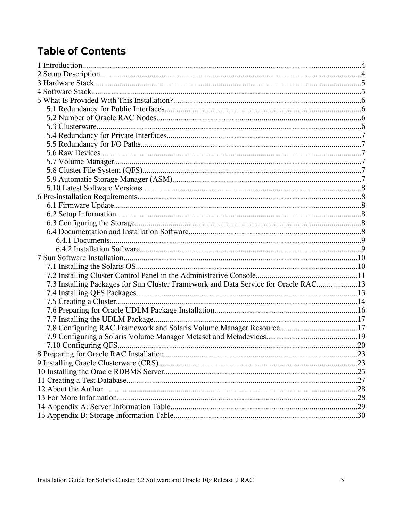# **Table of Contents**

| 7.3 Installing Packages for Sun Cluster Framework and Data Service for Oracle RAC13 |  |
|-------------------------------------------------------------------------------------|--|
|                                                                                     |  |
|                                                                                     |  |
|                                                                                     |  |
|                                                                                     |  |
| 7.8 Configuring RAC Framework and Solaris Volume Manager Resource17                 |  |
|                                                                                     |  |
|                                                                                     |  |
|                                                                                     |  |
|                                                                                     |  |
|                                                                                     |  |
|                                                                                     |  |
|                                                                                     |  |
|                                                                                     |  |
|                                                                                     |  |
|                                                                                     |  |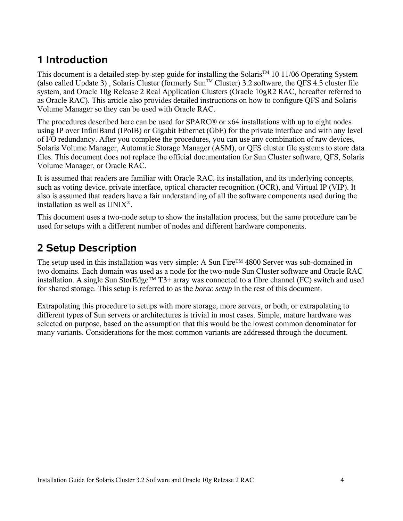### **1 Introduction**

This document is a detailed step-by-step guide for installing the Solaris<sup>TM</sup> 10 11/06 Operating System (also called Update 3), Solaris Cluster (formerly Sun<sup>TM</sup> Cluster) 3.2 software, the QFS 4.5 cluster file system, and Oracle 10*g* Release 2 Real Application Clusters (Oracle 10gR2 RAC, hereafter referred to as Oracle RAC). This article also provides detailed instructions on how to configure QFS and Solaris Volume Manager so they can be used with Oracle RAC.

The procedures described here can be used for SPARC® or x64 installations with up to eight nodes using IP over InfiniBand (IPoIB) or Gigabit Ethernet (GbE) for the private interface and with any level of I/O redundancy. After you complete the procedures, you can use any combination of raw devices, Solaris Volume Manager, Automatic Storage Manager (ASM), or QFS cluster file systems to store data files. This document does not replace the official documentation for Sun Cluster software, QFS, Solaris Volume Manager, or Oracle RAC.

It is assumed that readers are familiar with Oracle RAC, its installation, and its underlying concepts, such as voting device, private interface, optical character recognition (OCR), and Virtual IP (VIP). It also is assumed that readers have a fair understanding of all the software components used during the installation as well as UNIX ® .

This document uses a two-node setup to show the installation process, but the same procedure can be used for setups with a different number of nodes and different hardware components.

## **2 Setup Description**

The setup used in this installation was very simple: A Sun Fire™ 4800 Server was sub-domained in two domains. Each domain was used as a node for the two-node Sun Cluster software and Oracle RAC installation. A single Sun StorEdge™ T3+ array was connected to a fibre channel (FC) switch and used for shared storage. This setup is referred to as the *borac setup* in the rest of this document.

Extrapolating this procedure to setups with more storage, more servers, or both, or extrapolating to different types of Sun servers or architectures is trivial in most cases. Simple, mature hardware was selected on purpose, based on the assumption that this would be the lowest common denominator for many variants. Considerations for the most common variants are addressed through the document.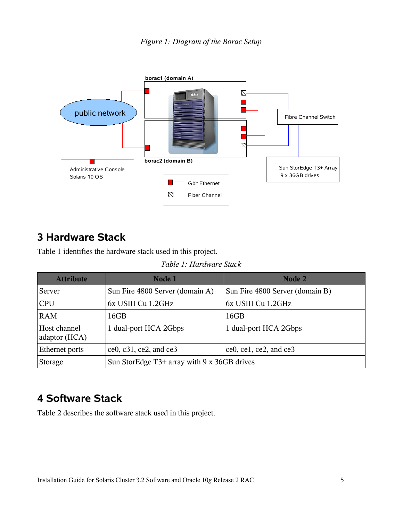

### **3 Hardware Stack**

Table 1 identifies the hardware stack used in this project.

*Table 1: Hardware Stack*

| <b>Attribute</b>                  | Node 1                                         | Node 2                            |
|-----------------------------------|------------------------------------------------|-----------------------------------|
| Server                            | Sun Fire 4800 Server (domain A)                | Sun Fire 4800 Server (domain B)   |
| $ $ CPU                           | 6x USIII Cu 1.2GHz                             | 6x USIII Cu 1.2GHz                |
| RAM                               | 16GB                                           | 16GB                              |
| Host channel<br>$ $ adaptor (HCA) | 1 dual-port HCA 2Gbps                          | 1 dual-port HCA 2Gbps             |
| Ethernet ports                    | $ce0$ , $c31$ , $ce2$ , and $ce3$              | $ce0$ , $ce1$ , $ce2$ , and $ce3$ |
| Storage                           | Sun StorEdge $T3$ + array with 9 x 36GB drives |                                   |

### **4 Software Stack**

Table 2 describes the software stack used in this project.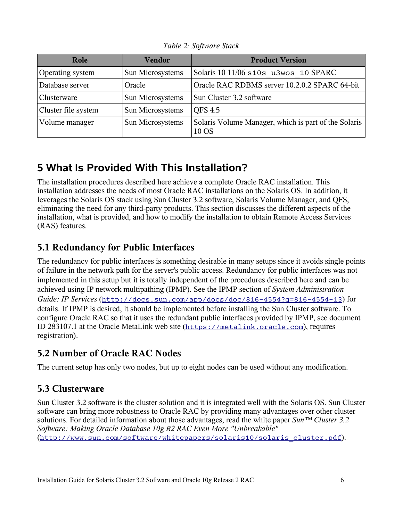| Role                | <b>Vendor</b>    | <b>Product Version</b>                                        |
|---------------------|------------------|---------------------------------------------------------------|
| Operating system    | Sun Microsystems | Solaris 10 11/06 s10s u3wos 10 SPARC                          |
| Database server     | Oracle           | Oracle RAC RDBMS server 10.2.0.2 SPARC 64-bit                 |
| Clusterware         | Sun Microsystems | Sun Cluster 3.2 software                                      |
| Cluster file system | Sun Microsystems | <b>QFS 4.5</b>                                                |
| Volume manager      | Sun Microsystems | Solaris Volume Manager, which is part of the Solaris<br>10 OS |

*Table 2: Software Stack*

## **5 What Is Provided With This Installation?**

The installation procedures described here achieve a complete Oracle RAC installation. This installation addresses the needs of most Oracle RAC installations on the Solaris OS. In addition, it leverages the Solaris OS stack using Sun Cluster 3.2 software, Solaris Volume Manager, and QFS, eliminating the need for any third-party products. This section discusses the different aspects of the installation, what is provided, and how to modify the installation to obtain Remote Access Services (RAS) features.

### **5.1 Redundancy for Public Interfaces**

The redundancy for public interfaces is something desirable in many setups since it avoids single points of failure in the network path for the server's public access. Redundancy for public interfaces was not implemented in this setup but it is totally independent of the procedures described here and can be achieved using IP network multipathing (IPMP). See the IPMP section of *System Administration Guide: IP Services* (<http://docs.sun.com/app/docs/doc/816-4554?q=816-4554-13>) for details. If IPMP is desired, it should be implemented before installing the Sun Cluster software. To configure Oracle RAC so that it uses the redundant public interfaces provided by IPMP, see document ID 283107.1 at the Oracle MetaLink web site ([https://metalink.oracle.com](http://metalink.oracle.com/)), requires registration).

### **5.2 Number of Oracle RAC Nodes**

The current setup has only two nodes, but up to eight nodes can be used without any modification.

### **5.3 Clusterware**

Sun Cluster 3.2 software is the cluster solution and it is integrated well with the Solaris OS. Sun Cluster software can bring more robustness to Oracle RAC by providing many advantages over other cluster solutions. For detailed information about those advantages, read the white paper *Sun™ Cluster 3.2 Software: Making Oracle Database 10g R2 RAC Even More "Unbreakable"* ([http://www.sun.com/software/whitepapers/solaris10/solaris\\_cluster.pdf](http://www.sun.com/software/whitepapers/solaris10/solaris_cluster.pdf)).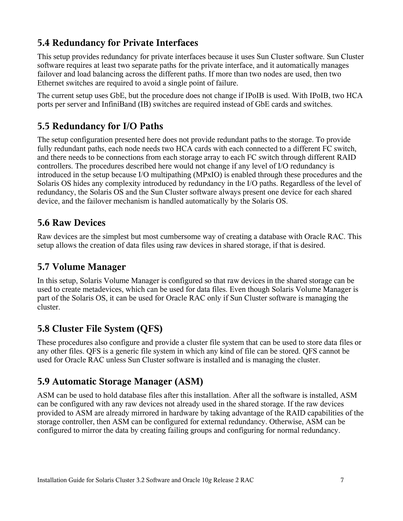### **5.4 Redundancy for Private Interfaces**

This setup provides redundancy for private interfaces because it uses Sun Cluster software. Sun Cluster software requires at least two separate paths for the private interface, and it automatically manages failover and load balancing across the different paths. If more than two nodes are used, then two Ethernet switches are required to avoid a single point of failure.

The current setup uses GbE, but the procedure does not change if IPoIB is used. With IPoIB, two HCA ports per server and InfiniBand (IB) switches are required instead of GbE cards and switches.

### **5.5 Redundancy for I/O Paths**

The setup configuration presented here does not provide redundant paths to the storage. To provide fully redundant paths, each node needs two HCA cards with each connected to a different FC switch, and there needs to be connections from each storage array to each FC switch through different RAID controllers. The procedures described here would not change if any level of I/O redundancy is introduced in the setup because I/O multipathing (MPxIO) is enabled through these procedures and the Solaris OS hides any complexity introduced by redundancy in the I/O paths. Regardless of the level of redundancy, the Solaris OS and the Sun Cluster software always present one device for each shared device, and the failover mechanism is handled automatically by the Solaris OS.

#### **5.6 Raw Devices**

Raw devices are the simplest but most cumbersome way of creating a database with Oracle RAC. This setup allows the creation of data files using raw devices in shared storage, if that is desired.

### **5.7 Volume Manager**

In this setup, Solaris Volume Manager is configured so that raw devices in the shared storage can be used to create metadevices, which can be used for data files. Even though Solaris Volume Manager is part of the Solaris OS, it can be used for Oracle RAC only if Sun Cluster software is managing the cluster.

### **5.8 Cluster File System (QFS)**

These procedures also configure and provide a cluster file system that can be used to store data files or any other files. QFS is a generic file system in which any kind of file can be stored. QFS cannot be used for Oracle RAC unless Sun Cluster software is installed and is managing the cluster.

### **5.9 Automatic Storage Manager (ASM)**

ASM can be used to hold database files after this installation. After all the software is installed, ASM can be configured with any raw devices not already used in the shared storage. If the raw devices provided to ASM are already mirrored in hardware by taking advantage of the RAID capabilities of the storage controller, then ASM can be configured for external redundancy. Otherwise, ASM can be configured to mirror the data by creating failing groups and configuring for normal redundancy.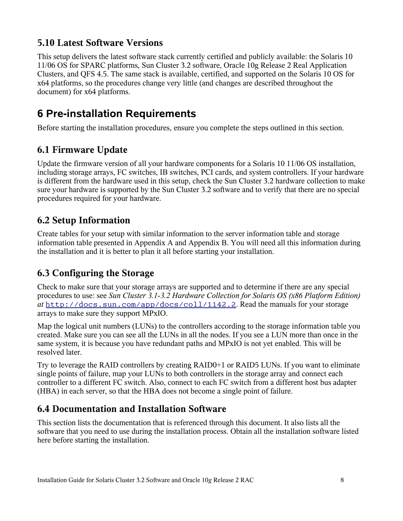### **5.10 Latest Software Versions**

This setup delivers the latest software stack currently certified and publicly available: the Solaris 10 11/06 OS for SPARC platforms, Sun Cluster 3.2 software, Oracle 10g Release 2 Real Application Clusters, and QFS 4.5. The same stack is available, certified, and supported on the Solaris 10 OS for x64 platforms, so the procedures change very little (and changes are described throughout the document) for x64 platforms.

## **6 Pre-installation Requirements**

Before starting the installation procedures, ensure you complete the steps outlined in this section.

### **6.1 Firmware Update**

Update the firmware version of all your hardware components for a Solaris 10 11/06 OS installation, including storage arrays, FC switches, IB switches, PCI cards, and system controllers. If your hardware is different from the hardware used in this setup, check the Sun Cluster 3.2 hardware collection to make sure your hardware is supported by the Sun Cluster 3.2 software and to verify that there are no special procedures required for your hardware.

#### **6.2 Setup Information**

Create tables for your setup with similar information to the server information table and storage information table presented in Appendix A and Appendix B. You will need all this information during the installation and it is better to plan it all before starting your installation.

### **6.3 Configuring the Storage**

Check to make sure that your storage arrays are supported and to determine if there are any special procedures to use: see *Sun Cluster 3.1-3.2 Hardware Collection for Solaris OS (x86 Platform Edition) at* <http://docs.sun.com/app/docs/coll/1142.2>. Read the manuals for your storage arrays to make sure they support MPxIO.

Map the logical unit numbers (LUNs) to the controllers according to the storage information table you created. Make sure you can see all the LUNs in all the nodes. If you see a LUN more than once in the same system, it is because you have redundant paths and MPxIO is not yet enabled. This will be resolved later.

Try to leverage the RAID controllers by creating RAID0+1 or RAID5 LUNs. If you want to eliminate single points of failure, map your LUNs to both controllers in the storage array and connect each controller to a different FC switch. Also, connect to each FC switch from a different host bus adapter (HBA) in each server, so that the HBA does not become a single point of failure.

### **6.4 Documentation and Installation Software**

This section lists the documentation that is referenced through this document. It also lists all the software that you need to use during the installation process. Obtain all the installation software listed here before starting the installation.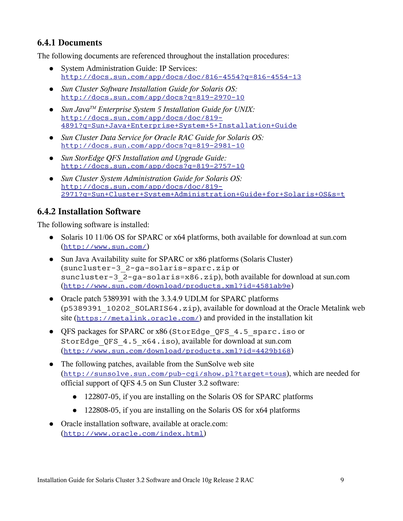#### **6.4.1 Documents**

The following documents are referenced throughout the installation procedures:

- System Administration Guide: IP Services: <http://docs.sun.com/app/docs/doc/816-4554?q=816-4554-13>
- *Sun Cluster Software Installation Guide for Solaris OS:* <http://docs.sun.com/app/docs?q=819-2970-10>
- Sun Java<sup>TM</sup> Enterprise System 5 Installation Guide for UNIX: [http://docs.sun.com/app/docs/doc/819-](http://docs.sun.com/app/docs/doc/819-4891?q=Sun+Java+Enterprise+System+5+Installation+Guide) [4891?q=Sun+Java+Enterprise+System+5+Installation+Guide](http://docs.sun.com/app/docs/doc/819-4891?q=Sun+Java+Enterprise+System+5+Installation+Guide)
- *Sun Cluster Data Service for Oracle RAC Guide for Solaris OS:* <http://docs.sun.com/app/docs?q=819-2981-10>
- *Sun StorEdge QFS Installation and Upgrade Guide:* <http://docs.sun.com/app/docs?q=819-2757-10>
- *Sun Cluster System Administration Guide for Solaris OS:* [http://docs.sun.com/app/docs/doc/819-](http://docs.sun.com/app/docs/doc/819-2971?q=Sun+Cluster+System+Administration+Guide+for+Solaris+OS&s=t) [2971?q=Sun+Cluster+System+Administration+Guide+for+Solaris+OS&s=t](http://docs.sun.com/app/docs/doc/819-2971?q=Sun+Cluster+System+Administration+Guide+for+Solaris+OS&s=t)

#### **6.4.2 Installation Software**

The following software is installed:

- Solaris 10 11/06 OS for SPARC or x64 platforms, both available for download at sun.com (<http://www.sun.com/>)
- Sun Java Availability suite for SPARC or x86 platforms (Solaris Cluster) (suncluster-3\_2-ga-solaris-sparc.zip or suncluster-3  $2$ -ga-solaris=x86.zip), both available for download at sun.com (<http://www.sun.com/download/products.xml?id=4581ab9e>)
- Oracle patch 5389391 with the 3.3.4.9 UDLM for SPARC platforms (p5389391\_10202\_SOLARIS64.zip), available for download at the Oracle Metalink web site (<https://metalink.oracle.com/>) and provided in the installation kit
- QFS packages for SPARC or x86 (StorEdge\_QFS\_4.5\_sparc.iso or StorEdge QFS 4.5  $x64.iso$ , available for download at sun.com (<http://www.sun.com/download/products.xml?id=4429b168>)
- The following patches, available from the SunSolve web site (<http://sunsolve.sun.com/pub-cgi/show.pl?target=tous>), which are needed for official support of QFS 4.5 on Sun Cluster 3.2 software:
	- 122807-05, if you are installing on the Solaris OS for SPARC platforms
	- 122808-05, if you are installing on the Solaris OS for x64 platforms
- Oracle installation software, available at oracle.com: (<http://www.oracle.com/index.html>)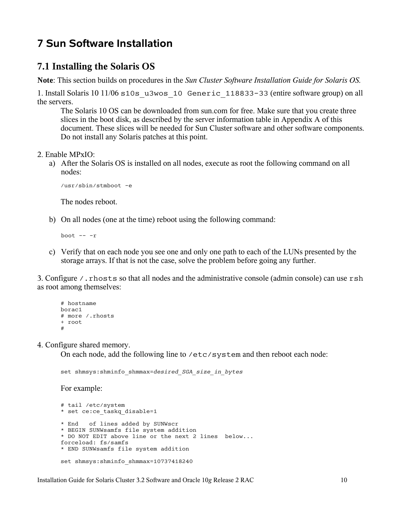### **7 Sun Software Installation**

#### **7.1 Installing the Solaris OS**

**Note**: This section builds on procedures in the *Sun Cluster Software Installation Guide for Solaris OS.*

1. Install Solaris 10 11/06 s10s\_u3wos\_10 Generic\_118833-33 (entire software group) on all the servers.

The Solaris 10 OS can be downloaded from sun.com for free. Make sure that you create three slices in the boot disk, as described by the server information table in Appendix A of this document. These slices will be needed for Sun Cluster software and other software components. Do not install any Solaris patches at this point.

- 2. Enable MPxIO:
	- a) After the Solaris OS is installed on all nodes, execute as root the following command on all nodes:

/usr/sbin/stmboot -e

The nodes reboot.

b) On all nodes (one at the time) reboot using the following command:

boot  $--r$ 

c) Verify that on each node you see one and only one path to each of the LUNs presented by the storage arrays. If that is not the case, solve the problem before going any further.

3. Configure /.rhosts so that all nodes and the administrative console (admin console) can use rsh as root among themselves:

```
# hostname
borac1
# more /.rhosts
+ root
#
```
4. Configure shared memory.

On each node, add the following line to /etc/system and then reboot each node:

set shmsys:shminfo\_shmmax=*desired\_SGA\_size\_in\_bytes*

For example:

```
# tail /etc/system
* set ce:ce taskq disable=1
* End of lines added by SUNWscr
* BEGIN SUNWsamfs file system addition
* DO NOT EDIT above line or the next 2 lines below...
forceload: fs/samfs
* END SUNWsamfs file system addition
set shmsys:shminfo_shmmax=10737418240
```
Installation Guide for Solaris Cluster 3.2 Software and Oracle 10g Release 2 RAC 10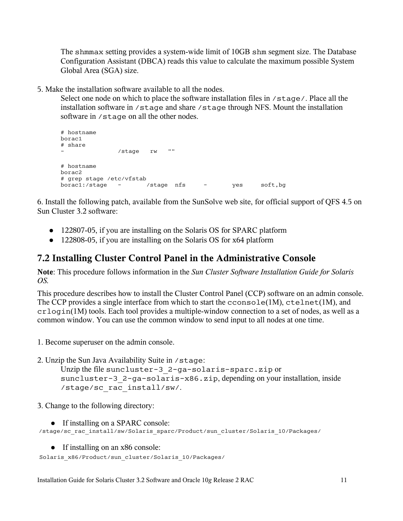The shmmax setting provides a system-wide limit of 10GB shm segment size. The Database Configuration Assistant (DBCA) reads this value to calculate the maximum possible System Global Area (SGA) size.

5. Make the installation software available to all the nodes.

Select one node on which to place the software installation files in /stage/. Place all the installation software in /stage and share /stage through NFS. Mount the installation software in / stage on all the other nodes.

```
# hostname
borac1
# share
             - /stage rw ""
# hostname
borac2
# grep stage /etc/vfstab
borac1:/stage - /stage nfs - yes soft,bg
```
6. Install the following patch, available from the SunSolve web site, for official support of QFS 4.5 on Sun Cluster 3.2 software:

- 122807-05, if you are installing on the Solaris OS for SPARC platform
- 122808-05, if you are installing on the Solaris OS for x64 platform

### **7.2 Installing Cluster Control Panel in the Administrative Console**

**Note**: This procedure follows information in the *Sun Cluster Software Installation Guide for Solaris OS.*

This procedure describes how to install the Cluster Control Panel (CCP) software on an admin console. The CCP provides a single interface from which to start the cconsole(1M), ctelnet(1M), and crlogin(1M) tools. Each tool provides a multiple-window connection to a set of nodes, as well as a common window. You can use the common window to send input to all nodes at one time.

- 1. Become superuser on the admin console.
- 2. Unzip the Sun Java Availability Suite in /stage:

Unzip the file suncluster-3 2-ga-solaris-sparc.zip or suncluster-3 2-ga-solaris-x86.zip, depending on your installation, inside /stage/sc\_rac\_install/sw/.

3. Change to the following directory:

```
• If installing on a SPARC console:
/stage/sc_rac_install/sw/Solaris_sparc/Product/sun_cluster/Solaris_10/Packages/
```
• If installing on an x86 console:

```
Solaris x86/Product/sun cluster/Solaris 10/Packages/
```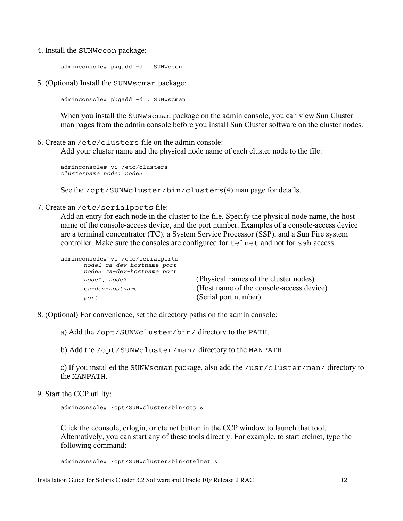#### 4. Install the SUNWccon package:

adminconsole# pkgadd -d . SUNWccon

5. (Optional) Install the SUNWscman package:

adminconsole# pkgadd -d . SUNWscman

When you install the SUNWscman package on the admin console, you can view Sun Cluster man pages from the admin console before you install Sun Cluster software on the cluster nodes.

6. Create an /etc/clusters file on the admin console:

Add your cluster name and the physical node name of each cluster node to the file:

adminconsole# vi /etc/clusters *clustername node1 node2*

See the /opt/SUNWcluster/bin/clusters(4) man page for details.

#### 7. Create an /etc/serialports file:

Add an entry for each node in the cluster to the file. Specify the physical node name, the host name of the console-access device, and the port number. Examples of a console-access device are a terminal concentrator (TC), a System Service Processor (SSP), and a Sun Fire system controller. Make sure the consoles are configured for telnet and not for ssh access.

| adminconsole# vi /etc/serialports                        |                                          |
|----------------------------------------------------------|------------------------------------------|
| node1 ca-dev-hostname port<br>node2 ca-dev-hostname port |                                          |
| node1, node2                                             | (Physical names of the cluster nodes)    |
| ca-dev-hostname                                          | (Host name of the console-access device) |
| port                                                     | (Serial port number)                     |

8. (Optional) For convenience, set the directory paths on the admin console:

a) Add the /opt/SUNWcluster/bin/ directory to the PATH.

b) Add the /opt/SUNWcluster/man/ directory to the MANPATH.

c) If you installed the SUNWscman package, also add the /usr/cluster/man/ directory to the MANPATH.

9. Start the CCP utility:

adminconsole# /opt/SUNWcluster/bin/ccp &

Click the cconsole, crlogin, or ctelnet button in the CCP window to launch that tool. Alternatively, you can start any of these tools directly. For example, to start ctelnet, type the following command:

adminconsole# /opt/SUNWcluster/bin/ctelnet &

Installation Guide for Solaris Cluster 3.2 Software and Oracle 10*g* Release 2 RAC 12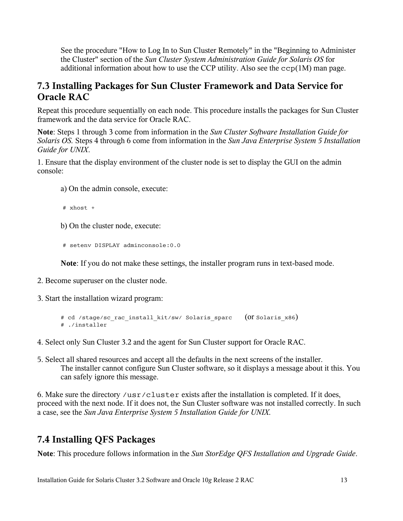See the procedure "How to Log In to Sun Cluster Remotely" in the "Beginning to Administer the Cluster" section of the *Sun Cluster System Administration Guide for Solaris OS* for additional information about how to use the CCP utility. Also see the  $\text{ccp}(1M)$  man page.

#### **7.3 Installing Packages for Sun Cluster Framework and Data Service for Oracle RAC**

Repeat this procedure sequentially on each node. This procedure installs the packages for Sun Cluster framework and the data service for Oracle RAC.

**Note**: Steps 1 through 3 come from information in the *Sun Cluster Software Installation Guide for Solaris OS.* Steps 4 through 6 come from information in the *Sun Java Enterprise System 5 Installation Guide for UNIX*.

1. Ensure that the display environment of the cluster node is set to display the GUI on the admin console:

- a) On the admin console, execute:
- # xhost +
- b) On the cluster node, execute:
- # setenv DISPLAY adminconsole:0.0

**Note**: If you do not make these settings, the installer program runs in text-based mode.

- 2. Become superuser on the cluster node.
- 3. Start the installation wizard program:

```
# cd /stage/sc rac install kit/sw/ Solaris sparc (OT Solaris x86)
# ./installer
```
4. Select only Sun Cluster 3.2 and the agent for Sun Cluster support for Oracle RAC.

5. Select all shared resources and accept all the defaults in the next screens of the installer. The installer cannot configure Sun Cluster software, so it displays a message about it this. You can safely ignore this message.

6. Make sure the directory  $\ell \text{usr}/\text{cluster}$  exists after the installation is completed. If it does, proceed with the next node. If it does not, the Sun Cluster software was not installed correctly. In such a case, see the *Sun Java Enterprise System 5 Installation Guide for UNIX.*

#### **7.4 Installing QFS Packages**

**Note**: This procedure follows information in the *Sun StorEdge QFS Installation and Upgrade Guide*.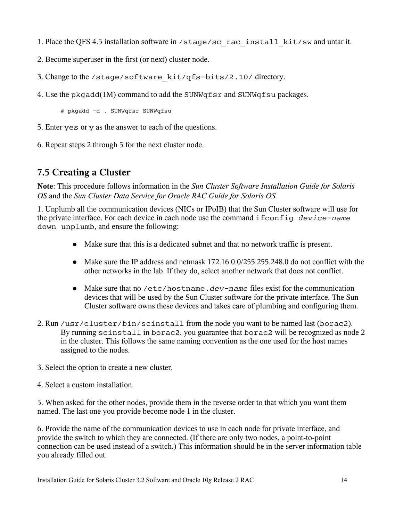- 1. Place the QFS 4.5 installation software in /stage/sc\_rac\_install\_kit/sw and untar it.
- 2. Become superuser in the first (or next) cluster node.
- 3. Change to the /stage/software\_kit/qfs-bits/2.10/ directory.
- 4. Use the pkgadd(1M) command to add the SUNWqfsr and SUNWqfsu packages.
	- # pkgadd -d . SUNWqfsr SUNWqfsu
- 5. Enter yes or y as the answer to each of the questions.
- 6. Repeat steps 2 through 5 for the next cluster node.

### **7.5 Creating a Cluster**

**Note**: This procedure follows information in the *Sun Cluster Software Installation Guide for Solaris OS* and the *Sun Cluster Data Service for Oracle RAC Guide for Solaris OS.*

1. Unplumb all the communication devices (NICs or IPoIB) that the Sun Cluster software will use for the private interface. For each device in each node use the command ifconfig *device-name* down unplumb, and ensure the following:

- Make sure that this is a dedicated subnet and that no network traffic is present.
- Make sure the IP address and netmask  $172.16.0.0/255.255.248.0$  do not conflict with the other networks in the lab. If they do, select another network that does not conflict.
- Make sure that no /etc/hostname.*dev-name* files exist for the communication devices that will be used by the Sun Cluster software for the private interface. The Sun Cluster software owns these devices and takes care of plumbing and configuring them.
- 2. Run /usr/cluster/bin/scinstall from the node you want to be named last (borac2). By running scinstall in borac2, you guarantee that borac2 will be recognized as node 2 in the cluster. This follows the same naming convention as the one used for the host names assigned to the nodes.
- 3. Select the option to create a new cluster.
- 4. Select a custom installation.

5. When asked for the other nodes, provide them in the reverse order to that which you want them named. The last one you provide become node 1 in the cluster.

6. Provide the name of the communication devices to use in each node for private interface, and provide the switch to which they are connected. (If there are only two nodes, a point-to-point connection can be used instead of a switch.) This information should be in the server information table you already filled out.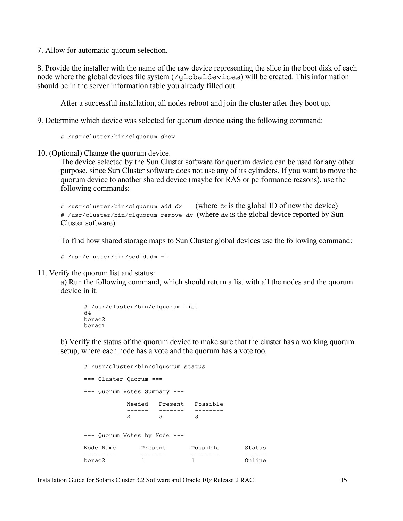7. Allow for automatic quorum selection.

8. Provide the installer with the name of the raw device representing the slice in the boot disk of each node where the global devices file system (/globaldevices) will be created. This information should be in the server information table you already filled out.

After a successful installation, all nodes reboot and join the cluster after they boot up.

9. Determine which device was selected for quorum device using the following command:

# /usr/cluster/bin/clquorum show

10. (Optional) Change the quorum device.

The device selected by the Sun Cluster software for quorum device can be used for any other purpose, since Sun Cluster software does not use any of its cylinders. If you want to move the quorum device to another shared device (maybe for RAS or performance reasons), use the following commands:

# /usr/cluster/bin/clquorum add *dx* (where *dx* is the global ID of new the device) # /usr/cluster/bin/clquorum remove *dx* (where *dx* is the global device reported by Sun Cluster software)

To find how shared storage maps to Sun Cluster global devices use the following command:

# /usr/cluster/bin/scdidadm -l

11. Verify the quorum list and status:

a) Run the following command, which should return a list with all the nodes and the quorum device in it:

```
# /usr/cluster/bin/clquorum list
d4borac2
borac1
```
b) Verify the status of the quorum device to make sure that the cluster has a working quorum setup, where each node has a vote and the quorum has a vote too.

```
# /usr/cluster/bin/clquorum status
== Cluster Quorum ==--- Quorum Votes Summary ---
         Needed Present Possible
 ------ ------- --------
 2 3 3
--- Quorum Votes by Node ---
Node Name Present Possible Status
--------- ------- -------- ------
borac2 1 1 1 Online
```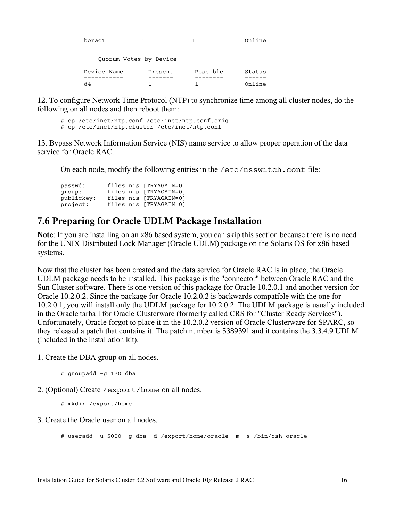| borac1      |                                |          | Online |
|-------------|--------------------------------|----------|--------|
|             |                                |          |        |
|             | --- Quorum Votes by Device --- |          |        |
| Device Name | Present                        | Possible | Status |
|             |                                |          |        |
| d4          |                                |          | Online |

12. To configure Network Time Protocol (NTP) to synchronize time among all cluster nodes, do the following on all nodes and then reboot them:

# cp /etc/inet/ntp.conf /etc/inet/ntp.conf.orig # cp /etc/inet/ntp.cluster /etc/inet/ntp.conf

13. Bypass Network Information Service (NIS) name service to allow proper operation of the data service for Oracle RAC.

On each node, modify the following entries in the /etc/nsswitch.conf file:

passwd: files nis [TRYAGAIN=0] group: files nis [TRYAGAIN=0] publickey: files nis [TRYAGAIN=0] project: files nis [TRYAGAIN=0]

#### **7.6 Preparing for Oracle UDLM Package Installation**

**Note**: If you are installing on an x86 based system, you can skip this section because there is no need for the UNIX Distributed Lock Manager (Oracle UDLM) package on the Solaris OS for x86 based systems.

Now that the cluster has been created and the data service for Oracle RAC is in place, the Oracle UDLM package needs to be installed. This package is the "connector" between Oracle RAC and the Sun Cluster software. There is one version of this package for Oracle 10.2.0.1 and another version for Oracle 10.2.0.2. Since the package for Oracle 10.2.0.2 is backwards compatible with the one for 10.2.0.1, you will install only the UDLM package for 10.2.0.2. The UDLM package is usually included in the Oracle tarball for Oracle Clusterware (formerly called CRS for "Cluster Ready Services"). Unfortunately, Oracle forgot to place it in the 10.2.0.2 version of Oracle Clusterware for SPARC, so they released a patch that contains it. The patch number is 5389391 and it contains the 3.3.4.9 UDLM (included in the installation kit).

1. Create the DBA group on all nodes.

# groupadd -g 120 dba

2. (Optional) Create /export/home on all nodes.

# mkdir /export/home

#### 3. Create the Oracle user on all nodes.

# useradd -u 5000 -g dba -d /export/home/oracle -m -s /bin/csh oracle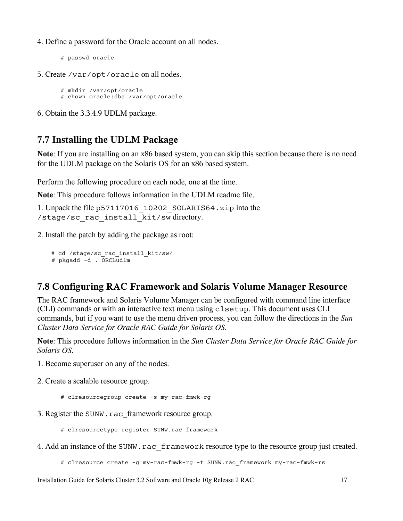4. Define a password for the Oracle account on all nodes.

```
# passwd oracle
```
5. Create /var/opt/oracle on all nodes.

```
# mkdir /var/opt/oracle
# chown oracle:dba /var/opt/oracle
```
6. Obtain the 3.3.4.9 UDLM package.

#### **7.7 Installing the UDLM Package**

**Note**: If you are installing on an x86 based system, you can skip this section because there is no need for the UDLM package on the Solaris OS for an x86 based system.

Perform the following procedure on each node, one at the time.

**Note**: This procedure follows information in the UDLM readme file.

```
1. Unpack the file p57117016_10202_SOLARIS64.zip into the
/stage/sc_rac_install_kit/sw directory.
```
2. Install the patch by adding the package as root:

```
 # cd /stage/sc_rac_install_kit/sw/
 # pkgadd -d . ORCLudlm
```
#### **7.8 Configuring RAC Framework and Solaris Volume Manager Resource**

The RAC framework and Solaris Volume Manager can be configured with command line interface (CLI) commands or with an interactive text menu using clsetup. This document uses CLI commands, but if you want to use the menu driven process, you can follow the directions in the *Sun Cluster Data Service for Oracle RAC Guide for Solaris OS*.

**Note**: This procedure follows information in the *Sun Cluster Data Service for Oracle RAC Guide for Solaris OS*.

1. Become superuser on any of the nodes.

2. Create a scalable resource group.

```
# clresourcegroup create -s my-rac-fmwk-rg
```
3. Register the SUNW.rac\_framework resource group.

```
# clresourcetype register SUNW.rac framework
```
4. Add an instance of the SUNW.rac framework resource type to the resource group just created.

# clresource create -g my-rac-fmwk-rg -t SUNW.rac\_framework my-rac-fmwk-rs

Installation Guide for Solaris Cluster 3.2 Software and Oracle 10*g* Release 2 RAC 17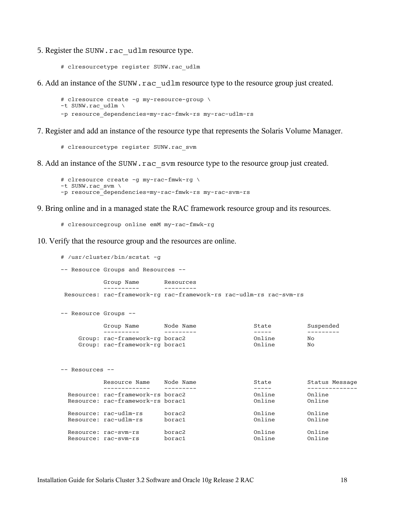5. Register the SUNW.rac\_udlm resource type.

```
# clresourcetype register SUNW.rac udlm
```
6. Add an instance of the SUNW.rac udlm resource type to the resource group just created.

```
# clresource create -g my-resource-group \
-t SUNW.rac_udlm \
-p resource dependencies=my-rac-fmwk-rs my-rac-udlm-rs
```
7. Register and add an instance of the resource type that represents the Solaris Volume Manager.

```
# clresourcetype register SUNW.rac svm
```
8. Add an instance of the SUNW, race sym resource type to the resource group just created.

```
# clresource create -g my-rac-fmwk-rg \
-t SUNW.rac_svm \
-p resource_dependencies=my-rac-fmwk-rs my-rac-svm-rs
```
9. Bring online and in a managed state the RAC framework resource group and its resources.

# clresourcegroup online emM my-rac-fmwk-rg

10. Verify that the resource group and the resources are online.

```
# /usr/cluster/bin/scstat -g
-- Resource Groups and Resources --
            Group Name Resources
             ---------- ---------
Resources: rac-framework-rg rac-framework-rs rac-udlm-rs rac-svm-rs
```
-- Resource Groups --

| Group Name | Node Name                                                        | State            | Suspended |
|------------|------------------------------------------------------------------|------------------|-----------|
|            |                                                                  | -----            |           |
|            | Group: rac-framework-rg borac2<br>Group: rac-framework-rg borac1 | Online<br>Online | Nο<br>Nο  |
|            |                                                                  |                  |           |

-- Resources --

| Resource Name                                                          | Node Name | State            | Status Message   |
|------------------------------------------------------------------------|-----------|------------------|------------------|
| Resource: rac-framework-rs borac2<br>Resource: rac-framework-rs borac1 |           | Online<br>Online | Online<br>Online |
| Resource: rac-udlm-rs                                                  | borac2    | Online           | Online           |
| Resource: rac-udlm-rs                                                  | borac1    | Online           | Online           |
| Resource: rac-sym-rs                                                   | borac2    | Online           | Online           |
| Resource: rac-sym-rs                                                   | borac1    | Online           | Online           |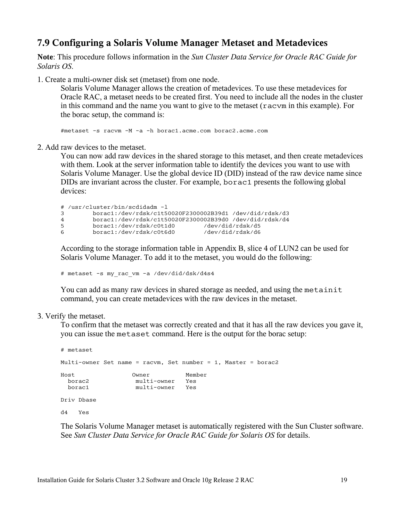#### **7.9 Configuring a Solaris Volume Manager Metaset and Metadevices**

**Note**: This procedure follows information in the *Sun Cluster Data Service for Oracle RAC Guide for Solaris OS*.

1. Create a multi-owner disk set (metaset) from one node.

Solaris Volume Manager allows the creation of metadevices. To use these metadevices for Oracle RAC, a metaset needs to be created first. You need to include all the nodes in the cluster in this command and the name you want to give to the metaset (racvm in this example). For the borac setup, the command is:

#metaset -s racvm -M -a -h borac1.acme.com borac2.acme.com

2. Add raw devices to the metaset.

You can now add raw devices in the shared storage to this metaset, and then create metadevices with them. Look at the server information table to identify the devices you want to use with Solaris Volume Manager. Use the global device ID (DID) instead of the raw device name since DIDs are invariant across the cluster. For example, borac1 presents the following global devices:

```
# /usr/cluster/bin/scdidadm -l
3 borac1:/dev/rdsk/c1t50020F2300002B39d1 /dev/did/rdsk/d3 
       4 borac1:/dev/rdsk/c1t50020F2300002B39d0 /dev/did/rdsk/d4 
5 borac1:/dev/rdsk/c0t1d0 /dev/did/rdsk/d5 
6 borac1:/dev/rdsk/c0t6d0 /dev/did/rdsk/d6
```
According to the storage information table in Appendix B, slice 4 of LUN2 can be used for Solaris Volume Manager. To add it to the metaset, you would do the following:

# metaset -s my rac vm -a /dev/did/dsk/d4s4

You can add as many raw devices in shared storage as needed, and using the metainit command, you can create metadevices with the raw devices in the metaset.

3. Verify the metaset.

To confirm that the metaset was correctly created and that it has all the raw devices you gave it, you can issue the metaset command. Here is the output for the borac setup:

```
# metaset
Multi-owner Set name = racvm, Set number = 1, Master = borac2
Host Owner Member
  borac2 multi-owner Yes
              multi-owner Yes
Driv Dbase
d4 Yes
```
The Solaris Volume Manager metaset is automatically registered with the Sun Cluster software. See *Sun Cluster Data Service for Oracle RAC Guide for Solaris OS* for details.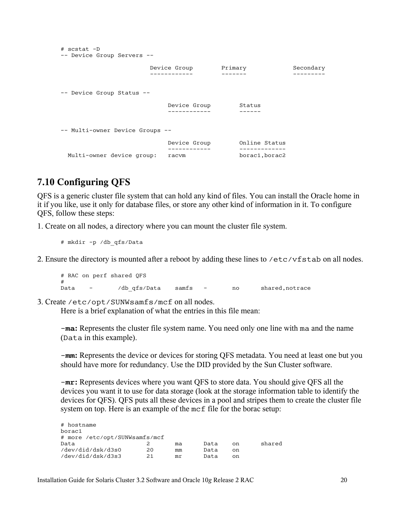| # $s$ cstat $-D$<br>-- Device Group Servers -- |                            |                |                     |
|------------------------------------------------|----------------------------|----------------|---------------------|
|                                                | Device Group<br>---------- | Primary        | Secondary<br>------ |
| -- Device Group Status --                      |                            |                |                     |
|                                                | Device Group               | Status         |                     |
| -- Multi-owner Device Groups --                |                            |                |                     |
|                                                | Device Group               | Online Status  |                     |
| Multi-owner device group:                      | racvm                      | borac1, borac2 |                     |

### **7.10 Configuring QFS**

QFS is a generic cluster file system that can hold any kind of files. You can install the Oracle home in it if you like, use it only for database files, or store any other kind of information in it. To configure QFS, follow these steps:

1. Create on all nodes, a directory where you can mount the cluster file system.

# mkdir -p /db\_qfs/Data

2. Ensure the directory is mounted after a reboot by adding these lines to /etc/vfstab on all nodes.

|      |     | # RAC on perf shared QFS |       |                          |    |                 |
|------|-----|--------------------------|-------|--------------------------|----|-----------------|
|      |     |                          |       |                          |    |                 |
| Data | $-$ | /db qfs/Data             | samfs | $\overline{\phantom{0}}$ | no | shared, notrace |

3. Create /etc/opt/SUNWsamfs/mcf on all nodes.

Here is a brief explanation of what the entries in this file mean:

-**ma:** Represents the cluster file system name. You need only one line with ma and the name (Data in this example).

-**mm:** Represents the device or devices for storing QFS metadata. You need at least one but you should have more for redundancy. Use the DID provided by the Sun Cluster software.

-**mr:** Represents devices where you want QFS to store data. You should give QFS all the devices you want it to use for data storage (look at the storage information table to identify the devices for QFS). QFS puts all these devices in a pool and stripes them to create the cluster file system on top. Here is an example of the mcf file for the borac setup:

| # hostname                    |     |    |      |    |        |
|-------------------------------|-----|----|------|----|--------|
| borac1                        |     |    |      |    |        |
| # more /etc/opt/SUNWsamfs/mcf |     |    |      |    |        |
| Data                          |     | ma | Data | on | shared |
| /dev/did/dsk/d3s0             | 20  | mm | Data | on |        |
| /dev/did/dsk/d3s3             | 2.1 | mr | Data | on |        |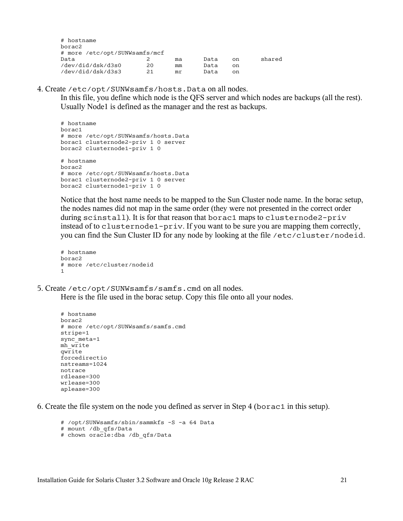| # hostname                    |    |    |      |    |        |
|-------------------------------|----|----|------|----|--------|
| borac2                        |    |    |      |    |        |
| # more /etc/opt/SUNWsamfs/mcf |    |    |      |    |        |
| Data                          |    | ma | Data | on | shared |
| /dev/did/dsk/d3s0             | 20 | mm | Data | on |        |
| /dev/did/dsk/d3s3             | 21 | mr | Data | on |        |

4. Create /etc/opt/SUNWsamfs/hosts.Data on all nodes.

In this file, you define which node is the QFS server and which nodes are backups (all the rest). Usually Node1 is defined as the manager and the rest as backups.

```
# hostname
borac1
# more /etc/opt/SUNWsamfs/hosts.Data
borac1 clusternode2-priv 1 0 server
borac2 clusternode1-priv 1 0
# hostname
borac2
# more /etc/opt/SUNWsamfs/hosts.Data
borac1 clusternode2-priv 1 0 server
borac2 clusternode1-priv 1 0
```
Notice that the host name needs to be mapped to the Sun Cluster node name. In the borac setup, the nodes names did not map in the same order (they were not presented in the correct order during scinstall). It is for that reason that borac1 maps to clusternode2-priv instead of to clusternode1-priv. If you want to be sure you are mapping them correctly, you can find the Sun Cluster ID for any node by looking at the file /etc/cluster/nodeid.

```
# hostname
borac2
# more /etc/cluster/nodeid
1
```
5. Create /etc/opt/SUNWsamfs/samfs.cmd on all nodes.

Here is the file used in the borac setup. Copy this file onto all your nodes.

```
# hostname
borac2
# more /etc/opt/SUNWsamfs/samfs.cmd
stripe=1
sync_meta=1
m<sub>h</sub> write
qwrite
forcedirectio
nstreams=1024
notrace
rdlease=300
wrlease=300
aplease=300
```
6. Create the file system on the node you defined as server in Step 4 (borac1 in this setup).

```
# /opt/SUNWsamfs/sbin/sammkfs -S -a 64 Data
```

```
# mount /db_qfs/Data
```

```
# chown oracle:dba /db_qfs/Data
```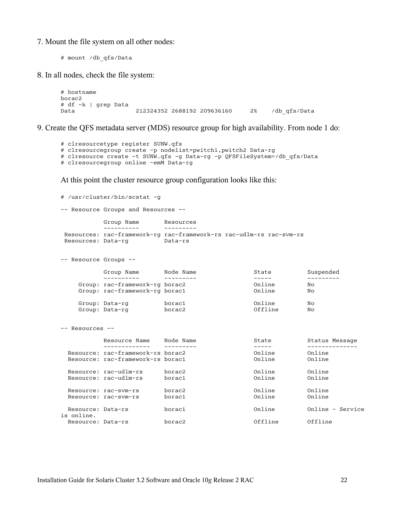7. Mount the file system on all other nodes:

```
# mount /db_qfs/Data
```
8. In all nodes, check the file system:

```
# hostname
borac2
# df -k | grep Data
Data 212324352 2688192 209636160 2% /db_qfs/Data
```
9. Create the QFS metadata server (MDS) resource group for high availability. From node 1 do:

```
# clresourcetype register SUNW.qfs
# clresourcegroup create -p nodelist=pwitch1,pwitch2 Data-rg
# clresource create -t SUNW.qfs -g Data-rg -p QFSFileSystem=/db_qfs/Data
# clresourcegroup online -emM Data-rg
```
At this point the cluster resource group configuration looks like this:

|                                 | # /usr/cluster/bin/scstat -q                                           |                                                                                |                   |                  |
|---------------------------------|------------------------------------------------------------------------|--------------------------------------------------------------------------------|-------------------|------------------|
|                                 | -- Resource Groups and Resources --                                    |                                                                                |                   |                  |
|                                 | Group Name                                                             | Resources                                                                      |                   |                  |
| Resources: Data-rg              |                                                                        | Resources: rac-framework-rg rac-framework-rs rac-udlm-rs rac-svm-rs<br>Data-rs |                   |                  |
| -- Resource Groups --           |                                                                        |                                                                                |                   |                  |
|                                 | Group Name                                                             | Node Name                                                                      | State<br>-----    | Suspended        |
|                                 | Group: rac-framework-rg borac2<br>Group: rac-framework-rg borac1       |                                                                                | Online<br>Online  | No<br>Nο         |
|                                 | Group: Data-rg<br>Group: Data-rg                                       | borac1<br>borac2                                                               | Online<br>Offline | No<br>No         |
| -- Resources --                 |                                                                        |                                                                                |                   |                  |
|                                 | Resource Name                                                          | Node Name                                                                      | State             | Status Message   |
|                                 | Resource: rac-framework-rs borac2<br>Resource: rac-framework-rs borac1 |                                                                                | Online<br>Online  | Online<br>Online |
|                                 | Resource: rac-udlm-rs<br>Resource: rac-udlm-rs                         | borac2<br>borac1                                                               | Online<br>Online  | Online<br>Online |
|                                 | Resource: rac-sym-rs<br>Resource: rac-svm-rs                           | borac2<br>borac1                                                               | Online<br>Online  | Online<br>Online |
| Resource: Data-rs<br>is online. |                                                                        | borac1                                                                         | Online            | Online - Service |
| Resource: Data-rs               |                                                                        | borac2                                                                         | Offline           | Offline          |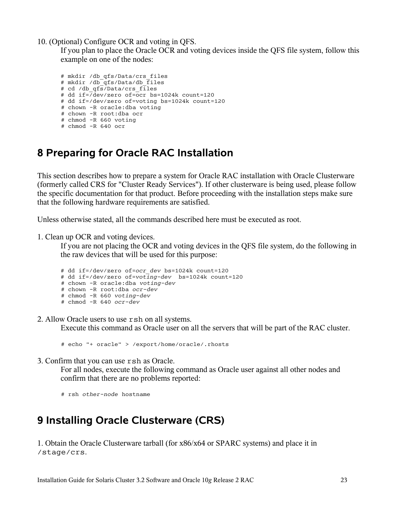10. (Optional) Configure OCR and voting in QFS.

If you plan to place the Oracle OCR and voting devices inside the QFS file system, follow this example on one of the nodes:

# mkdir /db\_qfs/Data/crs\_files # mkdir /db $qfs/Data/db$  files # cd /db  $qfs/Data/crs$  files # dd if=/dev/zero of=ocr bs=1024k count=120 # dd if=/dev/zero of=voting bs=1024k count=120 # chown -R oracle:dba voting # chown -R root:dba ocr # chmod -R 660 voting # chmod -R 640 ocr

### **8 Preparing for Oracle RAC Installation**

This section describes how to prepare a system for Oracle RAC installation with Oracle Clusterware (formerly called CRS for "Cluster Ready Services"). If other clusterware is being used, please follow the specific documentation for that product. Before proceeding with the installation steps make sure that the following hardware requirements are satisfied.

Unless otherwise stated, all the commands described here must be executed as root.

1. Clean up OCR and voting devices.

If you are not placing the OCR and voting devices in the QFS file system, do the following in the raw devices that will be used for this purpose:

- # dd if=/dev/zero of=*ocr\_dev* bs=1024k count=120 # dd if=/dev/zero of=*voting-dev* bs=1024k count=120 # chown -R oracle:dba *voting-dev* # chown -R root:dba *ocr-dev* # chmod -R 660 *voting-dev* # chmod -R 640 *ocr-dev*
- 2. Allow Oracle users to use rsh on all systems.

Execute this command as Oracle user on all the servers that will be part of the RAC cluster.

# echo "+ oracle" > /export/home/oracle/.rhosts

3. Confirm that you can use rsh as Oracle.

For all nodes, execute the following command as Oracle user against all other nodes and confirm that there are no problems reported:

# rsh *other-node* hostname

### **9 Installing Oracle Clusterware (CRS)**

1. Obtain the Oracle Clusterware tarball (for x86/x64 or SPARC systems) and place it in /stage/crs.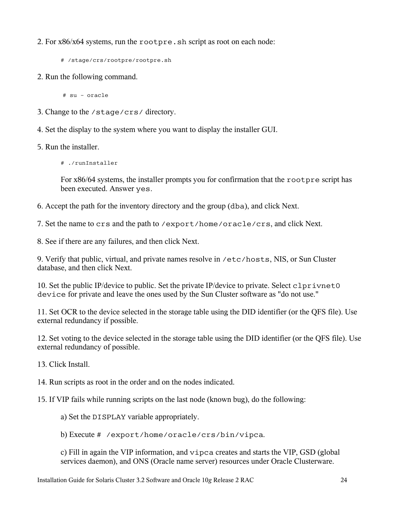- 2. For x86/x64 systems, run the rootpre.sh script as root on each node:
	- # /stage/crs/rootpre/rootpre.sh
- 2. Run the following command.
	- # su oracle
- 3. Change to the /stage/crs/ directory.
- 4. Set the display to the system where you want to display the installer GUI.
- 5. Run the installer.
	- # ./runInstaller

For x86/64 systems, the installer prompts you for confirmation that the rootpre script has been executed. Answer yes.

6. Accept the path for the inventory directory and the group (dba), and click Next.

7. Set the name to crs and the path to /export/home/oracle/crs, and click Next.

8. See if there are any failures, and then click Next.

9. Verify that public, virtual, and private names resolve in /etc/hosts, NIS, or Sun Cluster database, and then click Next.

10. Set the public IP/device to public. Set the private IP/device to private. Select clprivnet0 device for private and leave the ones used by the Sun Cluster software as "do not use."

11. Set OCR to the device selected in the storage table using the DID identifier (or the QFS file). Use external redundancy if possible.

12. Set voting to the device selected in the storage table using the DID identifier (or the QFS file). Use external redundancy of possible.

13. Click Install.

14. Run scripts as root in the order and on the nodes indicated.

15. If VIP fails while running scripts on the last node (known bug), do the following:

a) Set the DISPLAY variable appropriately.

b) Execute # /export/home/oracle/crs/bin/vipca*.*

c) Fill in again the VIP information, and vipca creates and starts the VIP, GSD (global services daemon), and ONS (Oracle name server) resources under Oracle Clusterware.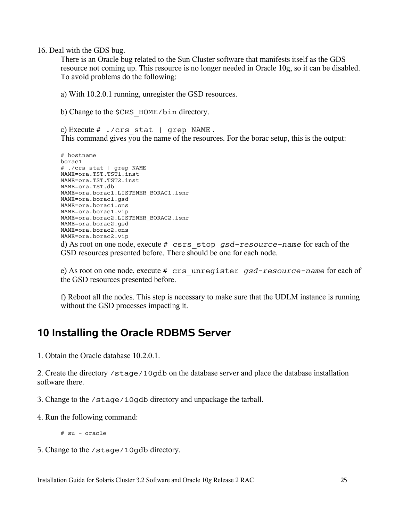16. Deal with the GDS bug.

There is an Oracle bug related to the Sun Cluster software that manifests itself as the GDS resource not coming up. This resource is no longer needed in Oracle 10g, so it can be disabled. To avoid problems do the following:

a) With 10.2.0.1 running, unregister the GSD resources.

b) Change to the \$CRS\_HOME/bin directory.

c) Execute # ./crs stat | grep NAME. This command gives you the name of the resources. For the borac setup, this is the output:

```
# hostname
borac1
# ./crs stat | grep NAME
NAME=ora.TST.TST1.inst
NAME=ora.TST.TST2.inst
NAME=ora.TST.db
NAME=ora.borac1.LISTENER_BORAC1.lsnr
NAME=ora.borac1.gsd
NAME=ora.borac1.ons
NAME=ora.borac1.vip
NAME=ora.borac2.LISTENER_BORAC2.lsnr
NAME=ora.borac2.gsd
NAME=ora.borac2.ons
NAME=ora.borac2.vip
d) As root on one node, execute # csrs_stop gsd-resource-name for each of the
GSD resources presented before. There should be one for each node.
```
e) As root on one node, execute # crs\_unregister *gsd-resource-name* for each of the GSD resources presented before.

f) Reboot all the nodes. This step is necessary to make sure that the UDLM instance is running without the GSD processes impacting it.

### **10 Installing the Oracle RDBMS Server**

1. Obtain the Oracle database 10.2.0.1.

2. Create the directory /stage/10gdb on the database server and place the database installation software there.

3. Change to the /stage/10gdb directory and unpackage the tarball.

4. Run the following command:

# su – oracle

5. Change to the /stage/10gdb directory.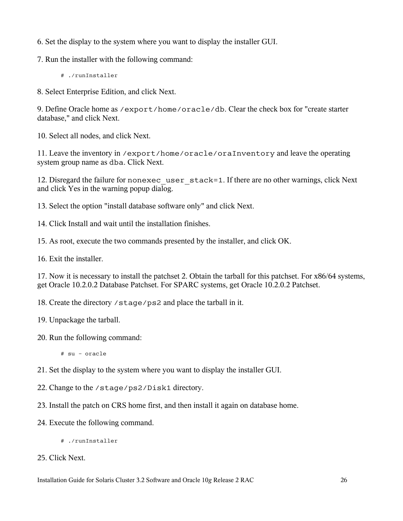6. Set the display to the system where you want to display the installer GUI.

7. Run the installer with the following command:

# ./runInstaller

8. Select Enterprise Edition, and click Next.

9. Define Oracle home as /export/home/oracle/db. Clear the check box for "create starter database," and click Next.

10. Select all nodes, and click Next.

11. Leave the inventory in /export/home/oracle/oraInventory and leave the operating system group name as dba. Click Next.

12. Disregard the failure for nonexec user stack=1. If there are no other warnings, click Next and click Yes in the warning popup dialog.

13. Select the option "install database software only" and click Next.

14. Click Install and wait until the installation finishes.

15. As root, execute the two commands presented by the installer, and click OK.

16. Exit the installer.

17. Now it is necessary to install the patchset 2. Obtain the tarball for this patchset. For x86/64 systems, get Oracle 10.2.0.2 Database Patchset. For SPARC systems, get Oracle 10.2.0.2 Patchset.

18. Create the directory /stage/ps2 and place the tarball in it.

19. Unpackage the tarball.

20. Run the following command:

# su – oracle

21. Set the display to the system where you want to display the installer GUI.

22. Change to the /stage/ps2/Disk1 directory.

23. Install the patch on CRS home first, and then install it again on database home.

24. Execute the following command.

# ./runInstaller

25. Click Next.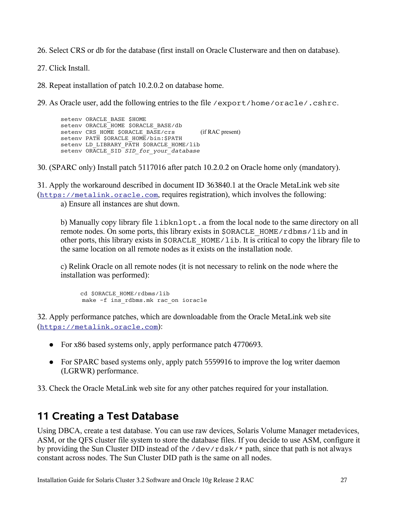26. Select CRS or db for the database (first install on Oracle Clusterware and then on database).

27. Click Install.

28. Repeat installation of patch 10.2.0.2 on database home.

29. As Oracle user, add the following entries to the file /export/home/oracle/.cshrc.

setenv ORACLE\_BASE \$HOME setenv ORACLE HOME \$ORACLE BASE/db setenv CRS HOME \$ORACLE BASE/crs (if RAC present)  $setenv$  PATH \$ORACLE HOME/bin: \$PATH setenv LD LIBRARY PATH \$ORACLE HOME/lib setenv ORACLE SID<sup>-SID</sup> for your<sup>-</sup>database

30. (SPARC only) Install patch 5117016 after patch 10.2.0.2 on Oracle home only (mandatory).

31. Apply the workaround described in document ID 363840.1 at the Oracle MetaLink web site ([https://metalink.oracle.com](http://metalink.oracle.com/), requires registration), which involves the following: a) Ensure all instances are shut down.

b) Manually copy library file libknlopt. a from the local node to the same directory on all

remote nodes. On some ports, this library exists in \$ORACLE\_HOME/rdbms/lib and in other ports, this library exists in  $$ORACLE$  HOME/lib. It is critical to copy the library file to the same location on all remote nodes as it exists on the installation node.

c) Relink Oracle on all remote nodes (it is not necessary to relink on the node where the installation was performed):

```
 cd $ORACLE_HOME/rdbms/lib
make -f ins rdbms.mk rac on ioracle
```
32. Apply performance patches, which are downloadable from the Oracle MetaLink web site ([https://metalink.oracle.com](https://metalink.oracle.com/)):

- For x86 based systems only, apply performance patch 4770693.
- For SPARC based systems only, apply patch 5559916 to improve the log writer daemon (LGRWR) performance.

33. Check the Oracle MetaLink web site for any other patches required for your installation.

### **11 Creating a Test Database**

Using DBCA, create a test database. You can use raw devices, Solaris Volume Manager metadevices, ASM, or the QFS cluster file system to store the database files. If you decide to use ASM, configure it by providing the Sun Cluster DID instead of the /dev/rdsk/\* path, since that path is not always constant across nodes. The Sun Cluster DID path is the same on all nodes.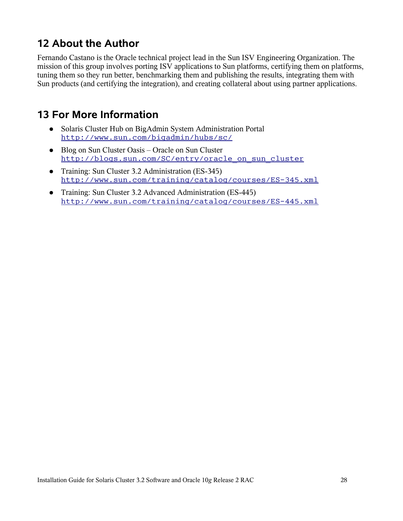### **12 About the Author**

Fernando Castano is the Oracle technical project lead in the Sun ISV Engineering Organization. The mission of this group involves porting ISV applications to Sun platforms, certifying them on platforms, tuning them so they run better, benchmarking them and publishing the results, integrating them with Sun products (and certifying the integration), and creating collateral about using partner applications.

### **13 For More Information**

- Solaris Cluster Hub on BigAdmin System Administration Portal <http://www.sun.com/bigadmin/hubs/sc/>
- Blog on Sun Cluster Oasis Oracle on Sun Cluster [http://blogs.sun.com/SC/entry/oracle\\_on\\_sun\\_cluster](http://blogs.sun.com/SC/entry/oracle_on_sun_cluster)
- Training: Sun Cluster 3.2 Administration (ES-345) <http://www.sun.com/training/catalog/courses/ES-345.xml>
- Training: Sun Cluster 3.2 Advanced Administration (ES-445) <http://www.sun.com/training/catalog/courses/ES-445.xml>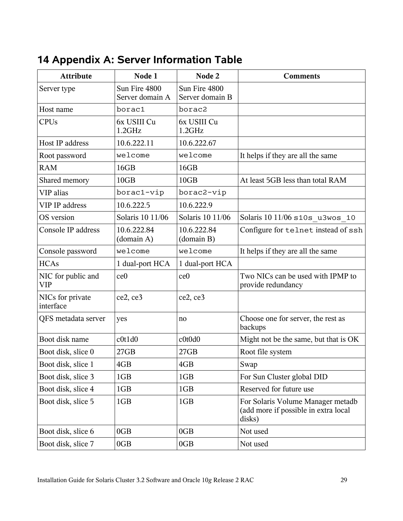# **14 Appendix A: Server Information Table**

| <b>Attribute</b>                 | Node 1                           | Node 2                           | <b>Comments</b>                                                                     |
|----------------------------------|----------------------------------|----------------------------------|-------------------------------------------------------------------------------------|
| Server type                      | Sun Fire 4800<br>Server domain A | Sun Fire 4800<br>Server domain B |                                                                                     |
| Host name                        | borac1                           | borac2                           |                                                                                     |
| <b>CPUs</b>                      | 6x USIII Cu<br>1.2GHz            | 6x USIII Cu<br>1.2GHz            |                                                                                     |
| Host IP address                  | 10.6.222.11                      | 10.6.222.67                      |                                                                                     |
| Root password                    | welcome                          | welcome                          | It helps if they are all the same                                                   |
| <b>RAM</b>                       | 16GB                             | 16GB                             |                                                                                     |
| Shared memory                    | 10GB                             | 10GB                             | At least 5GB less than total RAM                                                    |
| VIP alias                        | borac1-vip                       | borac2-vip                       |                                                                                     |
| VIP IP address                   | 10.6.222.5                       | 10.6.222.9                       |                                                                                     |
| OS version                       | Solaris 10 11/06                 | Solaris 10 11/06                 | Solaris 10 11/06 s10s u3wos 10                                                      |
| Console IP address               | 10.6.222.84<br>(domain A)        | 10.6.222.84<br>(domain B)        | Configure for telnet instead of ssh                                                 |
| Console password                 | welcome                          | welcome                          | It helps if they are all the same                                                   |
| <b>HCAs</b>                      | 1 dual-port HCA                  | 1 dual-port HCA                  |                                                                                     |
| NIC for public and<br><b>VIP</b> | ce <sub>0</sub>                  | ce <sub>0</sub>                  | Two NICs can be used with IPMP to<br>provide redundancy                             |
| NICs for private<br>interface    | ce2, ce3                         | ce2, ce3                         |                                                                                     |
| QFS metadata server              | yes                              | no                               | Choose one for server, the rest as<br>backups                                       |
| Boot disk name                   | c0t1d0                           | c0t0d0                           | Might not be the same, but that is OK                                               |
| Boot disk, slice 0               | 27GB                             | 27GB                             | Root file system                                                                    |
| Boot disk, slice 1               | 4GB                              | 4GB                              | Swap                                                                                |
| Boot disk, slice 3               | 1GB                              | 1GB                              | For Sun Cluster global DID                                                          |
| Boot disk, slice 4               | 1GB                              | 1GB                              | Reserved for future use                                                             |
| Boot disk, slice 5               | 1GB                              | 1GB                              | For Solaris Volume Manager metadb<br>(add more if possible in extra local<br>disks) |
| Boot disk, slice 6               | 0GB                              | 0GB                              | Not used                                                                            |
| Boot disk, slice 7               | 0GB                              | 0GB                              | Not used                                                                            |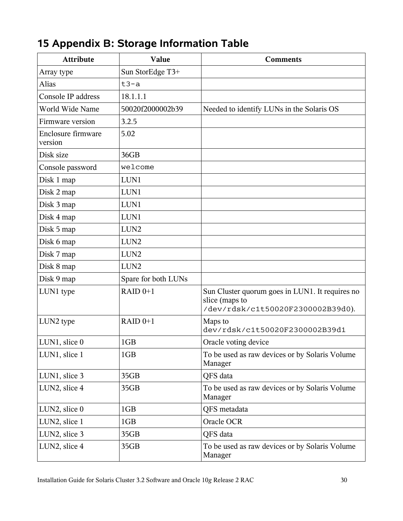# **15 Appendix B: Storage Information Table**

| <b>Attribute</b>              | Value               | <b>Comments</b>                                                                                        |
|-------------------------------|---------------------|--------------------------------------------------------------------------------------------------------|
| Array type                    | Sun StorEdge T3+    |                                                                                                        |
| <b>Alias</b>                  | $t3-a$              |                                                                                                        |
| Console IP address            | 18.1.1.1            |                                                                                                        |
| World Wide Name               | 50020f2000002b39    | Needed to identify LUNs in the Solaris OS                                                              |
| Firmware version              | 3.2.5               |                                                                                                        |
| Enclosure firmware<br>version | 5.02                |                                                                                                        |
| Disk size                     | 36GB                |                                                                                                        |
| Console password              | welcome             |                                                                                                        |
| Disk 1 map                    | LUN1                |                                                                                                        |
| Disk 2 map                    | LUN1                |                                                                                                        |
| Disk 3 map                    | LUN1                |                                                                                                        |
| Disk 4 map                    | LUN1                |                                                                                                        |
| Disk 5 map                    | LUN2                |                                                                                                        |
| Disk 6 map                    | LUN2                |                                                                                                        |
| Disk 7 map                    | LUN2                |                                                                                                        |
| Disk 8 map                    | LUN2                |                                                                                                        |
| Disk 9 map                    | Spare for both LUNs |                                                                                                        |
| LUN1 type                     | $RAID 0+1$          | Sun Cluster quorum goes in LUN1. It requires no<br>slice (maps to<br>/dev/rdsk/c1t50020F2300002B39d0). |
| LUN2 type                     | $RAID 0+1$          | Maps to<br>dev/rdsk/c1t50020F2300002B39d1                                                              |
| LUN1, slice 0                 | 1GB                 | Oracle voting device                                                                                   |
| LUN1, slice 1                 | 1GB                 | To be used as raw devices or by Solaris Volume<br>Manager                                              |
| LUN1, slice 3                 | 35GB                | QFS data                                                                                               |
| LUN2, slice 4                 | 35GB                | To be used as raw devices or by Solaris Volume<br>Manager                                              |
| LUN2, slice 0                 | 1GB                 | QFS metadata                                                                                           |
| LUN2, slice 1                 | 1GB                 | Oracle OCR                                                                                             |
| LUN2, slice 3                 | 35GB                | QFS data                                                                                               |
| LUN2, slice 4                 | 35GB                | To be used as raw devices or by Solaris Volume<br>Manager                                              |